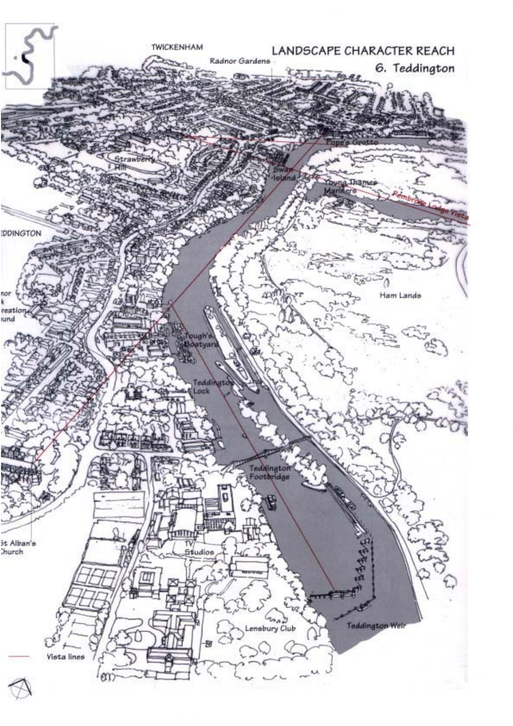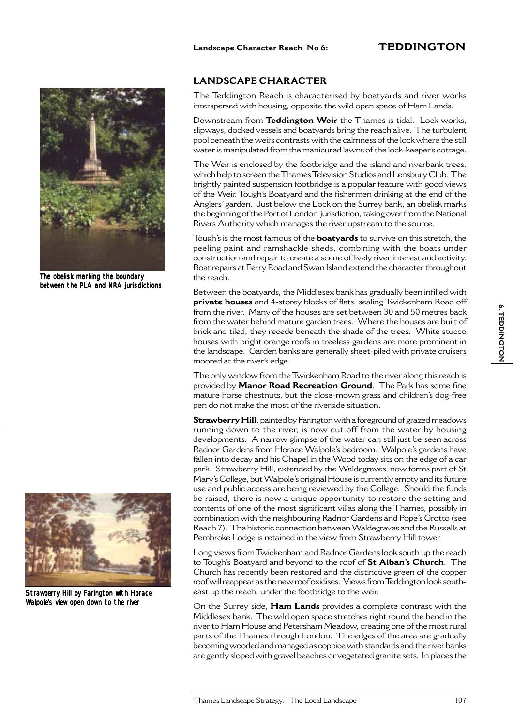

The obelisk marking the boundary between the PLA and NRA jurisdictions



Strawberry Hill by Farington with Horace Walpole's view open down to the river

## **LANDSCAPE CHARACTER**

The Teddington Reach is characterised by boatyards and river works interspersed with housing, opposite the wild open space of Ham Lands.

Downstream from **Teddington Weir** the Thames is tidal. Lock works, slipways, docked vessels and boatyards bring the reach alive. The turbulent pool beneath the weirs contrasts with the calmness of the lock where the still water is manipulated from the manicured lawns of the lock-keeper's cottage.

The Weir is enclosed by the footbridge and the island and riverbank trees, which help to screen the Thames Television Studios and Lensbury Club. The brightly painted suspension footbridge is a popular feature with good views of the Weir, Tough's Boatyard and the fishermen drinking at the end of the Anglers' garden. Just below the Lock on the Surrey bank, an obelisk marks the beginning of the Port of London jurisdiction, taking over from the National Rivers Authority which manages the river upstream to the source.

Tough's is the most famous of the **boatyards** to survive on this stretch, the peeling paint and ramshackle sheds, combining with the boats under construction and repair to create a scene of lively river interest and activity. Boat repairs at Ferry Road and Swan Island extend the character throughout the reach.

Between the boatyards, the Middlesex bank has gradually been infilled with **private houses** and 4-storey blocks of flats, sealing Twickenham Road off from the river. Many of the houses are set between 30 and 50 metres back from the water behind mature garden trees. Where the houses are built of brick and tiled, they recede beneath the shade of the trees. White stucco houses with bright orange roofs in treeless gardens are more prominent in the landscape. Garden banks are generally sheet-piled with private cruisers moored at the river's edge.

The only window from the Twickenham Road to the river along this reach is provided by **Manor Road Recreation Ground**. The Park has some fine mature horse chestnuts, but the close-mown grass and children's dog-free pen do not make the most of the riverside situation.

**Strawberry Hill**, painted by Farington with a foreground of grazed meadows running down to the river, is now cut off from the water by housing developments. A narrow glimpse of the water can still just be seen across Radnor Gardens from Horace Walpole's bedroom. Walpole's gardens have fallen into decay and his Chapel in the Wood today sits on the edge of a car park. Strawberry Hill, extended by the Waldegraves, now forms part of St Mary's College, but Walpole's original House is currently empty and its future use and public access are being reviewed by the College. Should the funds be raised, there is now a unique opportunity to restore the setting and contents of one of the most significant villas along the Thames, possibly in combination with the neighbouring Radnor Gardens and Pope's Grotto (see Reach 7). The historic connection between Waldegraves and the Russells at Pembroke Lodge is retained in the view from Strawberry Hill tower.

Long views from Twickenham and Radnor Gardens look south up the reach to Tough's Boatyard and beyond to the roof of **St Alban's Church**. The Church has recently been restored and the distinctive green of the copper roof will reappear as the new roof oxidises. Views from Teddington look southeast up the reach, under the footbridge to the weir.

On the Surrey side, **Ham Lands** provides a complete contrast with the Middlesex bank. The wild open space stretches right round the bend in the river to Ham House and Petersham Meadow, creating one of the most rural parts of the Thames through London. The edges of the area are gradually becoming wooded and managed as coppice with standards and the river banks are gently sloped with gravel beaches or vegetated granite sets. In places the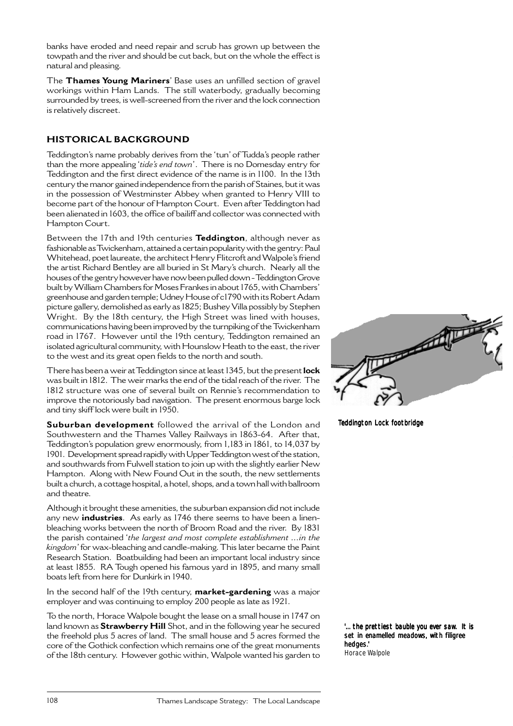banks have eroded and need repair and scrub has grown up between the towpath and the river and should be cut back, but on the whole the effect is natural and pleasing.

The **Thames Young Mariners**' Base uses an unfilled section of gravel workings within Ham Lands. The still waterbody, gradually becoming surrounded by trees, is well-screened from the river and the lock connection is relatively discreet.

## **HISTORICAL BACKGROUND**

Teddington's name probably derives from the 'tun' of Tudda's people rather than the more appealing '*tide's end town*'. There is no Domesday entry for Teddington and the first direct evidence of the name is in 1100. In the 13th century the manor gained independence from the parish of Staines, but it was in the possession of Westminster Abbey when granted to Henry VIII to become part of the honour of Hampton Court. Even after Teddington had been alienated in 1603, the office of bailiff and collector was connected with Hampton Court.

Between the 17th and 19th centuries **Teddington**, although never as fashionable as Twickenham, attained a certain popularity with the gentry: Paul Whitehead, poet laureate, the architect Henry Flitcroft and Walpole's friend the artist Richard Bentley are all buried in St Mary's church. Nearly all the houses of the gentry however have now been pulled down - Teddington Grove built by William Chambers for Moses Frankes in about 1765, with Chambers' greenhouse and garden temple; Udney House of c1790 with its Robert Adam picture gallery, demolished as early as 1825; Bushey Villa possibly by Stephen Wright. By the 18th century, the High Street was lined with houses, communications having been improved by the turnpiking of the Twickenham road in 1767. However until the 19th century, Teddington remained an isolated agricultural community, with Hounslow Heath to the east, the river to the west and its great open fields to the north and south.

There has been a weir at Teddington since at least 1345, but the present **lock** was built in 1812. The weir marks the end of the tidal reach of the river. The 1812 structure was one of several built on Rennie's recommendation to improve the notoriously bad navigation. The present enormous barge lock and tiny skiff lock were built in 1950.

**Suburban development** followed the arrival of the London and Southwestern and the Thames Valley Railways in 1863-64. After that, Teddington's population grew enormously, from 1,183 in 1861, to 14,037 by 1901. Development spread rapidly with Upper Teddington west of the station, and southwards from Fulwell station to join up with the slightly earlier New Hampton. Along with New Found Out in the south, the new settlements built a church, a cottage hospital, a hotel, shops, and a town hall with ballroom and theatre.

Although it brought these amenities, the suburban expansion did not include any new **industries**. As early as 1746 there seems to have been a linenbleaching works between the north of Broom Road and the river. By 1831 the parish contained '*the largest and most complete establishment ...in the kingdom*' for wax-bleaching and candle-making. This later became the Paint Research Station. Boatbuilding had been an important local industry since at least 1855. RA Tough opened his famous yard in 1895, and many small boats left from here for Dunkirk in 1940.

In the second half of the 19th century, **market-gardening** was a major employer and was continuing to employ 200 people as late as 1921.

To the north, Horace Walpole bought the lease on a small house in 1747 on land known as **Strawberry Hill** Shot, and in the following year he secured the freehold plus 5 acres of land. The small house and 5 acres formed the core of the Gothick confection which remains one of the great monuments of the 18th century. However gothic within, Walpole wanted his garden to



Teddington Lock footbridge

'... the prettiest bauble you ever saw. It is set in enamelled meadows, with filigree hedges.' Horace Walpole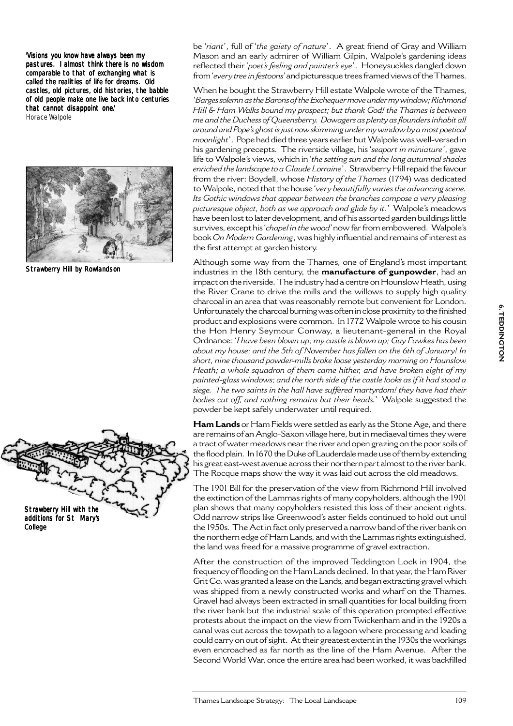'Visions you know have always been my pastures. I almost think there is no wisdom comparable to that of exchanging what is called the realities of life for dreams. Old castles, old pictures, old histories, the babble of old people make one live back into centuries that cannot disappoint one.'

Horace Walpole



Strawberry Hill by Rowlandson



be '*riant*', full of '*the gaiety of nature*'. A great friend of Gray and William Mason and an early admirer of William Gilpin, Walpole's gardening ideas reflected their '*poet's feeling and painter's eye*'. Honeysuckles dangled down from '*every tree in festoons*' and picturesque trees framed views of the Thames.

When he bought the Strawberry Hill estate Walpole wrote of the Thames, '*Barges solemn as the Barons of the Exchequer move under my window; Richmond Hill & Ham Walks bound my prospect; but thank God! the Thames is between me and the Duchess of Queensberry. Dowagers as plenty as flounders inhabit all around and Pope's ghost is just now skimming under my window by a most poetical moonlight*'. Pope had died three years earlier but Walpole was well-versed in his gardening precepts. The riverside village, his '*seaport in miniature'*, gave life to Walpole's views, which in '*the setting sun and the long autumnal shades enriched the landscape to a Claude Lorraine*'. Strawberry Hill repaid the favour from the river: Boydell, whose *History of the Thames* (1794) was dedicated to Walpole, noted that the house '*very beautifully varies the advancing scene. Its Gothic windows that appear between the branches compose a very pleasing picturesque object, both as we approach and glide by it.*' Walpole's meadows have been lost to later development, and of his assorted garden buildings little survives, except his '*chapel in the wood*' now far from embowered. Walpole's book *On Modern Gardening*, was highly influential and remains of interest as the first attempt at garden history.

Although some way from the Thames, one of England's most important industries in the 18th century, the **manufacture of gunpowder**, had an impact on the riverside. The industry had a centre on Hounslow Heath, using the River Crane to drive the mills and the willows to supply high quality charcoal in an area that was reasonably remote but convenient for London. Unfortunately the charcoal burning was often in close proximity to the finished product and explosions were common. In 1772 Walpole wrote to his cousin the Hon Henry Seymour Conway, a lieutenant-general in the Royal Ordnance: '*I have been blown up; my castle is blown up; Guy Fawkes has been about my house; and the 5th of November has fallen on the 6th of January! In short, nine thousand powder-mills broke loose yesterday morning on Hounslow Heath; a whole squadron of them came hither, and have broken eight of my painted-glass windows; and the north side of the castle looks as if it had stood a siege. The two saints in the hall have suffered martyrdom! they have had their bodies cut off, and nothing remains but their heads.*' Walpole suggested the powder be kept safely underwater until required.

**Ham Lands** or Ham Fields were settled as early as the Stone Age, and there are remains of an Anglo-Saxon village here, but in mediaeval times they were a tract of water meadows near the river and open grazing on the poor soils of the flood plain. In 1670 the Duke of Lauderdale made use of them by extending his great east-west avenue across their northern part almost to the river bank. The Rocque maps show the way it was laid out across the old meadows.

The 1901 Bill for the preservation of the view from Richmond Hill involved the extinction of the Lammas rights of many copyholders, although the 1901 plan shows that many copyholders resisted this loss of their ancient rights. Odd narrow strips like Greenwood's aster fields continued to hold out until the 1950s. The Act in fact only preserved a narrow band of the river bank on the northern edge of Ham Lands, and with the Lammas rights extinguished, the land was freed for a massive programme of gravel extraction.

After the construction of the improved Teddington Lock in 1904, the frequency of flooding on the Ham Lands declined. In that year, the Ham River Grit Co. was granted a lease on the Lands, and began extracting gravel which was shipped from a newly constructed works and wharf on the Thames. Gravel had always been extracted in small quantities for local building from the river bank but the industrial scale of this operation prompted effective protests about the impact on the view from Twickenham and in the 1920s a canal was cut across the towpath to a lagoon where processing and loading could carry on out of sight. At their greatest extent in the 1930s the workings even encroached as far north as the line of the Ham Avenue. After the Second World War, once the entire area had been worked, it was backfilled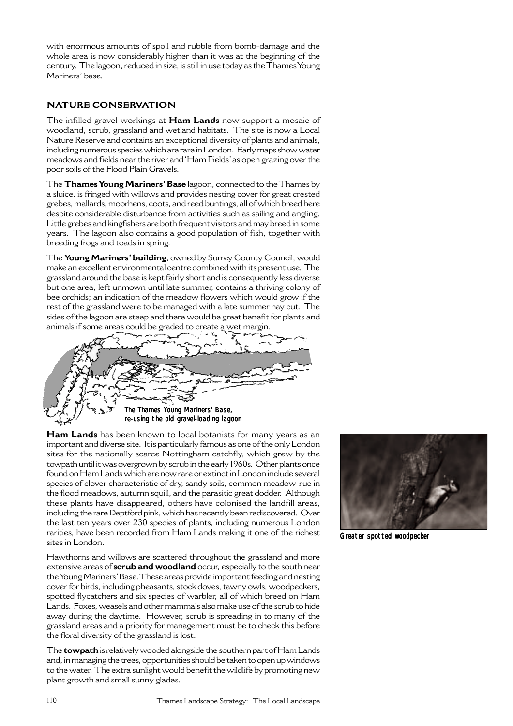with enormous amounts of spoil and rubble from bomb-damage and the whole area is now considerably higher than it was at the beginning of the century. The lagoon, reduced in size, is still in use today as the Thames Young Mariners' base.

# **NATURE CONSERVATION**

The infilled gravel workings at **Ham Lands** now support a mosaic of woodland, scrub, grassland and wetland habitats. The site is now a Local Nature Reserve and contains an exceptional diversity of plants and animals, including numerous species which are rare in London. Early maps show water meadows and fields near the river and 'Ham Fields' as open grazing over the poor soils of the Flood Plain Gravels.

The **Thames Young Mariners' Base** lagoon, connected to the Thames by a sluice, is fringed with willows and provides nesting cover for great crested grebes, mallards, moorhens, coots, and reed buntings, all of which breed here despite considerable disturbance from activities such as sailing and angling. Little grebes and kingfishers are both frequent visitors and may breed in some years. The lagoon also contains a good population of fish, together with breeding frogs and toads in spring.

The **Young Mariners' building**, owned by Surrey County Council, would make an excellent environmental centre combined with its present use. The grassland around the base is kept fairly short and is consequently less diverse but one area, left unmown until late summer, contains a thriving colony of bee orchids; an indication of the meadow flowers which would grow if the rest of the grassland were to be managed with a late summer hay cut. The sides of the lagoon are steep and there would be great benefit for plants and animals if some areas could be graded to create a wet margin.



**Ham Lands** has been known to local botanists for many years as an important and diverse site. It is particularly famous as one of the only London sites for the nationally scarce Nottingham catchfly, which grew by the towpath until it was overgrown by scrub in the early 1960s. Other plants once found on Ham Lands which are now rare or extinct in London include several species of clover characteristic of dry, sandy soils, common meadow-rue in the flood meadows, autumn squill, and the parasitic great dodder. Although these plants have disappeared, others have colonised the landfill areas, including the rare Deptford pink, which has recently been rediscovered. Over the last ten years over 230 species of plants, including numerous London rarities, have been recorded from Ham Lands making it one of the richest sites in London.

Hawthorns and willows are scattered throughout the grassland and more extensive areas of **scrub and woodland** occur, especially to the south near the Young Mariners' Base. These areas provide important feeding and nesting cover for birds, including pheasants, stock doves, tawny owls, woodpeckers, spotted flycatchers and six species of warbler, all of which breed on Ham Lands. Foxes, weasels and other mammals also make use of the scrub to hide away during the daytime. However, scrub is spreading in to many of the grassland areas and a priority for management must be to check this before the floral diversity of the grassland is lost.

The **towpath** is relatively wooded alongside the southern part of Ham Lands and, in managing the trees, opportunities should be taken to open up windows to the water. The extra sunlight would benefit the wildlife by promoting new plant growth and small sunny glades.



Greater spotted woodpecker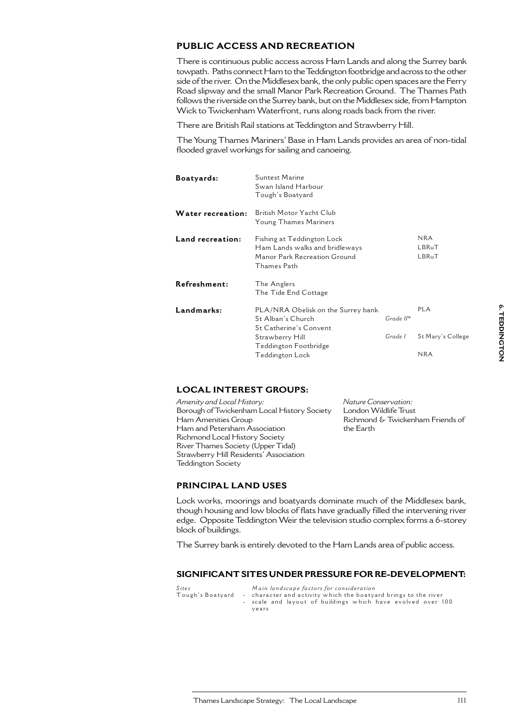## **PUBLIC ACCESS AND RECREATION**

There is continuous public access across Ham Lands and along the Surrey bank towpath. Paths connect Ham to the Teddington footbridge and across to the other side of the river. On the Middlesex bank, the only public open spaces are the Ferry Road slipway and the small Manor Park Recreation Ground. The Thames Path follows the riverside on the Surrey bank, but on the Middlesex side, from Hampton Wick to Twickenham Waterfront, runs along roads back from the river.

There are British Rail stations at Teddington and Strawberry Hill.

The Young Thames Mariners' Base in Ham Lands provides an area of non-tidal flooded gravel workings for sailing and canoeing.

| Boatyards:        | Suntest Marine<br>Swan Island Harbour<br>Tough's Boatyard                                                                     |                      |                                 |
|-------------------|-------------------------------------------------------------------------------------------------------------------------------|----------------------|---------------------------------|
| Water recreation: | British Motor Yacht Club<br>Young Thames Mariners                                                                             |                      |                                 |
| Land recreation:  | Fishing at Teddington Lock<br>Ham Lands walks and bridleways<br>Manor Park Recreation Ground<br>Thames Path                   |                      | <b>NRA</b><br>LBRuT<br>LBRuT    |
| Refreshment:      | The Anglers<br>The Tide End Cottage                                                                                           |                      |                                 |
| Landmarks:        | PLA/NRA Obelisk on the Surrey bank<br>St Alban's Church<br>St Catherine's Convent<br>Strawberry Hill<br>Teddington Footbridge | Grade II*<br>Grade I | <b>PLA</b><br>St Mary's College |
|                   | Teddington Lock                                                                                                               |                      | <b>NRA</b>                      |

## **LOCAL INTEREST GROUPS:**

*Amenity and Local History:* Borough of Twickenham Local History Society Ham Amenities Group Ham and Petersham Association Richmond Local History Society River Thames Society (Upper Tidal) Strawberry Hill Residents' Association Teddington Society *Nature Conservation:*

# London Wildlife Trust Richmond & Twickenham Friends of the Earth

## **PRINCIPAL LAND USES**

Lock works, moorings and boatyards dominate much of the Middlesex bank, though housing and low blocks of flats have gradually filled the intervening river edge. Opposite Teddington Weir the television studio complex forms a 6-storey block of buildings.

The Surrey bank is entirely devoted to the Ham Lands area of public access.

#### **SIGNIFICANT SITES UNDER PRESSURE FOR RE-DEVELOPMENT:**

| Sites            | Main landscape factors for consideration                        |  |  |
|------------------|-----------------------------------------------------------------|--|--|
| Tough's Boatvard | - character and activity which the boatyard brings to the river |  |  |
|                  | - scale and layout of buildings which have evolved over 100     |  |  |
|                  | vears                                                           |  |  |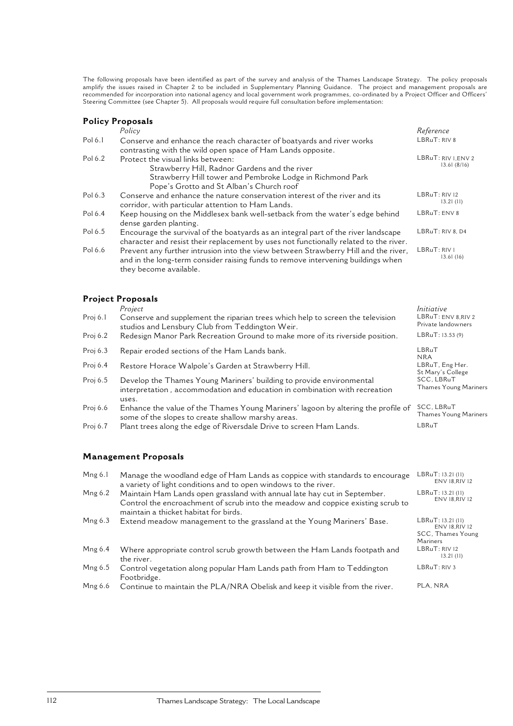The following proposals have been identified as part of the survey and analysis of the Thames Landscape Strategy. The policy proposals amplify the issues raised in Chapter 2 to be included in Supplementary Planning Guidance. The project and management proposals are recommended for incorporation into national agency and local government work programmes, co-ordinated by a Project Officer and Officers' Steering Committee (see Chapter 5). All proposals would require full consultation before implementation:

#### **Policy Proposals**

|         | Policy                                                                                                                                                                                           | Reference                               |
|---------|--------------------------------------------------------------------------------------------------------------------------------------------------------------------------------------------------|-----------------------------------------|
| Pol 6.1 | Conserve and enhance the reach character of boatyards and river works                                                                                                                            | LBRuT: RIV 8                            |
|         | contrasting with the wild open space of Ham Lands opposite.                                                                                                                                      |                                         |
| Pol 6.2 | Protect the visual links between:                                                                                                                                                                | LBRuT: RIV I, ENV 2<br>13.61(8/16)      |
|         | Strawberry Hill, Radnor Gardens and the river                                                                                                                                                    |                                         |
|         | Strawberry Hill tower and Pembroke Lodge in Richmond Park                                                                                                                                        |                                         |
|         | Pope's Grotto and St Alban's Church roof                                                                                                                                                         |                                         |
| Pol 6.3 | Conserve and enhance the nature conservation interest of the river and its<br>corridor, with particular attention to Ham Lands.                                                                  | LBR <sub>U</sub> T: RIV 12<br>13.21(11) |
| Pol 6.4 | Keep housing on the Middlesex bank well-setback from the water's edge behind<br>dense garden planting.                                                                                           | LBRuT: ENV 8                            |
| Pol 6.5 | Encourage the survival of the boatyards as an integral part of the river landscape<br>character and resist their replacement by uses not functionally related to the river.                      | LBRuT: RIV 8, D4                        |
| Pol 6.6 | Prevent any further intrusion into the view between Strawberry Hill and the river,<br>and in the long-term consider raising funds to remove intervening buildings when<br>they become available. | LBRuT: RIV 1<br>13.61(16)               |
|         |                                                                                                                                                                                                  |                                         |

# **Project Proposals**

|          | Project                                                                                                                                                     | <i>Initiative</i>                         |  |
|----------|-------------------------------------------------------------------------------------------------------------------------------------------------------------|-------------------------------------------|--|
| Proj 6.1 | Conserve and supplement the riparian trees which help to screen the television<br>studios and Lensbury Club from Teddington Weir.                           | LBRuT: ENV 8, RIV 2<br>Private landowners |  |
| Proj 6.2 | Redesign Manor Park Recreation Ground to make more of its riverside position.                                                                               | LBRuT: 13.53 (9)                          |  |
| Proj 6.3 | Repair eroded sections of the Ham Lands bank.                                                                                                               | LBRuT<br><b>NRA</b>                       |  |
| Proj 6.4 | Restore Horace Walpole's Garden at Strawberry Hill.                                                                                                         | LBRuT, Eng Her.<br>St Mary's College      |  |
| Proj 6.5 | Develop the Thames Young Mariners' building to provide environmental<br>interpretation, accommodation and education in combination with recreation<br>uses. | SCC, LBRuT<br>Thames Young Mariners       |  |
| Proj 6.6 | Enhance the value of the Thames Young Mariners' lagoon by altering the profile of<br>some of the slopes to create shallow marshy areas.                     | SCC, LBRuT<br>Thames Young Mariners       |  |
| Proj 6.7 | Plant trees along the edge of Riversdale Drive to screen Ham Lands.                                                                                         | LBRuT                                     |  |
|          |                                                                                                                                                             |                                           |  |

#### **Management Proposals**

| Mng 6.1 | Manage the woodland edge of Ham Lands as coppice with standards to encourage<br>a variety of light conditions and to open windows to the river.                                                      | LBRuT: 13.21 (11)<br><b>ENV 18, RIV 12</b>                                         |
|---------|------------------------------------------------------------------------------------------------------------------------------------------------------------------------------------------------------|------------------------------------------------------------------------------------|
| Mng 6.2 | Maintain Ham Lands open grassland with annual late hay cut in September.<br>Control the encroachment of scrub into the meadow and coppice existing scrub to<br>maintain a thicket habitat for birds. | LBRuT: 13.21 (11)<br><b>ENV 18, RIV 12</b>                                         |
| Mng 6.3 | Extend meadow management to the grassland at the Young Mariners' Base.                                                                                                                               | LBRuT: 13.21 (11)<br><b>ENV 18, RIV 12</b><br>SCC, Thames Young<br><b>Mariners</b> |
| Mng 6.4 | Where appropriate control scrub growth between the Ham Lands footpath and<br>the river.                                                                                                              | LBRuT: RIV 12<br>13.21(11)                                                         |
| Mng 6.5 | Control vegetation along popular Ham Lands path from Ham to Teddington<br>Footbridge.                                                                                                                | LBRuT: RIV 3                                                                       |
| Mng 6.6 | Continue to maintain the PLA/NRA Obelisk and keep it visible from the river.                                                                                                                         | PLA. NRA                                                                           |